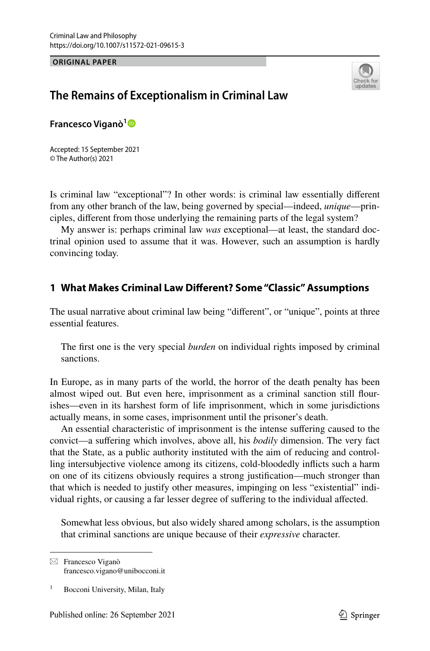#### **ORIGINAL PAPER**



# **The Remains of Exceptionalism in Criminal Law**

**Francesco Viganò[1](http://orcid.org/0000-0001-9144-8051)**

Accepted: 15 September 2021 © The Author(s) 2021

Is criminal law "exceptional"? In other words: is criminal law essentially diferent from any other branch of the law, being governed by special—indeed, *unique*—principles, diferent from those underlying the remaining parts of the legal system?

My answer is: perhaps criminal law *was* exceptional—at least, the standard doctrinal opinion used to assume that it was. However, such an assumption is hardly convincing today.

### **1 What Makes Criminal Law Diferent? Some "Classic" Assumptions**

The usual narrative about criminal law being "diferent", or "unique", points at three essential features.

The frst one is the very special *burden* on individual rights imposed by criminal sanctions.

In Europe, as in many parts of the world, the horror of the death penalty has been almost wiped out. But even here, imprisonment as a criminal sanction still fourishes—even in its harshest form of life imprisonment, which in some jurisdictions actually means, in some cases, imprisonment until the prisoner's death.

An essential characteristic of imprisonment is the intense sufering caused to the convict—a sufering which involves, above all, his *bodily* dimension. The very fact that the State, as a public authority instituted with the aim of reducing and controlling intersubjective violence among its citizens, cold-bloodedly inficts such a harm on one of its citizens obviously requires a strong justifcation—much stronger than that which is needed to justify other measures, impinging on less "existential" individual rights, or causing a far lesser degree of sufering to the individual afected.

Somewhat less obvious, but also widely shared among scholars, is the assumption that criminal sanctions are unique because of their *expressive* character.

 $\boxtimes$  Francesco Viganò francesco.vigano@unibocconi.it

<sup>1</sup> Bocconi University, Milan, Italy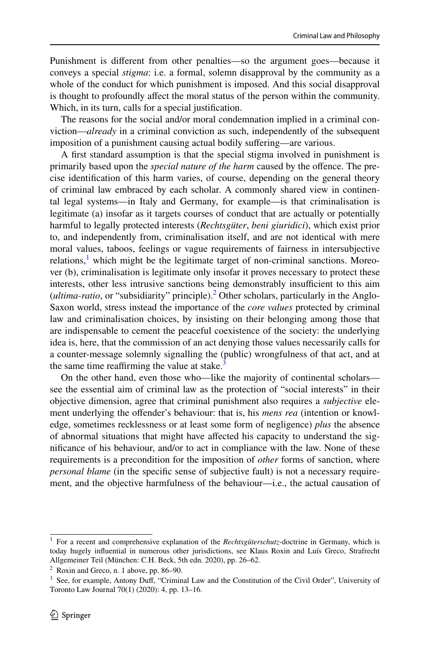Punishment is diferent from other penalties—so the argument goes—because it conveys a special *stigma*: i.e. a formal, solemn disapproval by the community as a whole of the conduct for which punishment is imposed. And this social disapproval is thought to profoundly afect the moral status of the person within the community. Which, in its turn, calls for a special justifcation.

The reasons for the social and/or moral condemnation implied in a criminal conviction—*already* in a criminal conviction as such, independently of the subsequent imposition of a punishment causing actual bodily sufering—are various.

A frst standard assumption is that the special stigma involved in punishment is primarily based upon the *special nature of the harm* caused by the offence. The precise identifcation of this harm varies, of course, depending on the general theory of criminal law embraced by each scholar. A commonly shared view in continental legal systems—in Italy and Germany, for example—is that criminalisation is legitimate (a) insofar as it targets courses of conduct that are actually or potentially harmful to legally protected interests (*Rechtsgüter*, *beni giuridici*), which exist prior to, and independently from, criminalisation itself, and are not identical with mere moral values, taboos, feelings or vague requirements of fairness in intersubjective relations,<sup>[1](#page-1-0)</sup> which might be the legitimate target of non-criminal sanctions. Moreover (b), criminalisation is legitimate only insofar it proves necessary to protect these interests, other less intrusive sanctions being demonstrably insufficient to this aim (*ultima-ratio*, or "subsidiarity" principle).<sup>[2](#page-1-1)</sup> Other scholars, particularly in the Anglo-Saxon world, stress instead the importance of the *core values* protected by criminal law and criminalisation choices, by insisting on their belonging among those that are indispensable to cement the peaceful coexistence of the society: the underlying idea is, here, that the commission of an act denying those values necessarily calls for a counter-message solemnly signalling the (public) wrongfulness of that act, and at the same time reaffirming the value at stake. $3$ 

On the other hand, even those who—like the majority of continental scholars see the essential aim of criminal law as the protection of "social interests" in their objective dimension, agree that criminal punishment also requires a *subjective* element underlying the ofender's behaviour: that is, his *mens rea* (intention or knowledge, sometimes recklessness or at least some form of negligence) *plus* the absence of abnormal situations that might have afected his capacity to understand the signifcance of his behaviour, and/or to act in compliance with the law. None of these requirements is a precondition for the imposition of *other* forms of sanction, where *personal blame* (in the specifc sense of subjective fault) is not a necessary requirement, and the objective harmfulness of the behaviour—i.e., the actual causation of

<span id="page-1-0"></span><sup>1</sup> For a recent and comprehensive explanation of the *Rechtsgüterschutz*-doctrine in Germany, which is today hugely infuential in numerous other jurisdictions, see Klaus Roxin and Luís Greco, Strafrecht Allgemeiner Teil (München: C.H. Beck, 5th edn. 2020), pp. 26–62.

<span id="page-1-1"></span><sup>2</sup> Roxin and Greco, n. 1 above, pp. 86–90.

<span id="page-1-2"></span> $3$  See, for example, Antony Duff, "Criminal Law and the Constitution of the Civil Order", University of Toronto Law Journal 70(1) (2020): 4, pp. 13–16.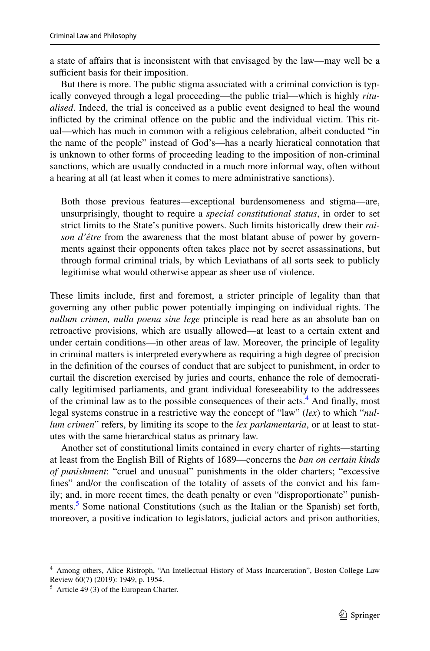a state of afairs that is inconsistent with that envisaged by the law—may well be a sufficient basis for their imposition.

But there is more. The public stigma associated with a criminal conviction is typically conveyed through a legal proceeding—the public trial—which is highly *ritualised*. Indeed, the trial is conceived as a public event designed to heal the wound inflicted by the criminal offence on the public and the individual victim. This ritual—which has much in common with a religious celebration, albeit conducted "in the name of the people" instead of God's—has a nearly hieratical connotation that is unknown to other forms of proceeding leading to the imposition of non-criminal sanctions, which are usually conducted in a much more informal way, often without a hearing at all (at least when it comes to mere administrative sanctions).

Both those previous features—exceptional burdensomeness and stigma—are, unsurprisingly, thought to require a *special constitutional status*, in order to set strict limits to the State's punitive powers. Such limits historically drew their *raison d'être* from the awareness that the most blatant abuse of power by governments against their opponents often takes place not by secret assassinations, but through formal criminal trials, by which Leviathans of all sorts seek to publicly legitimise what would otherwise appear as sheer use of violence.

These limits include, frst and foremost, a stricter principle of legality than that governing any other public power potentially impinging on individual rights. The *nullum crimen, nulla poena sine lege* principle is read here as an absolute ban on retroactive provisions, which are usually allowed—at least to a certain extent and under certain conditions—in other areas of law. Moreover, the principle of legality in criminal matters is interpreted everywhere as requiring a high degree of precision in the defnition of the courses of conduct that are subject to punishment, in order to curtail the discretion exercised by juries and courts, enhance the role of democratically legitimised parliaments, and grant individual foreseeability to the addressees of the criminal law as to the possible consequences of their acts.<sup>4</sup> And finally, most legal systems construe in a restrictive way the concept of "law" (*lex*) to which "*nullum crimen*" refers, by limiting its scope to the *lex parlamentaria*, or at least to statutes with the same hierarchical status as primary law.

Another set of constitutional limits contained in every charter of rights—starting at least from the English Bill of Rights of 1689—concerns the *ban on certain kinds of punishment*: "cruel and unusual" punishments in the older charters; "excessive fnes" and/or the confscation of the totality of assets of the convict and his family; and, in more recent times, the death penalty or even "disproportionate" punishments.<sup>5</sup> Some national Constitutions (such as the Italian or the Spanish) set forth, moreover, a positive indication to legislators, judicial actors and prison authorities,

<span id="page-2-0"></span><sup>4</sup> Among others, Alice Ristroph, "An Intellectual History of Mass Incarceration", Boston College Law Review 60(7) (2019): 1949, p. 1954.

<span id="page-2-1"></span><sup>5</sup> Article 49 (3) of the European Charter.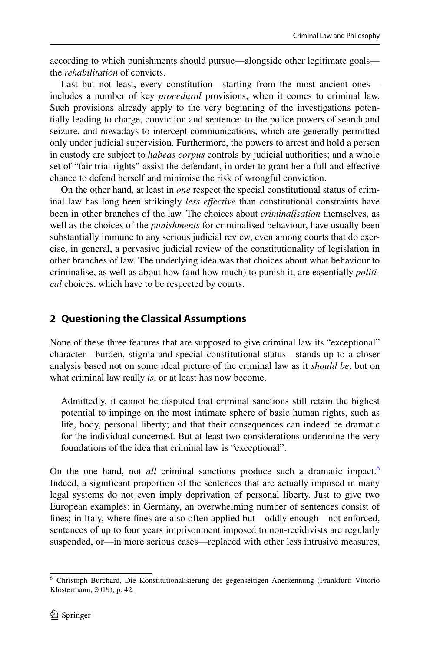according to which punishments should pursue—alongside other legitimate goals the *rehabilitation* of convicts.

Last but not least, every constitution—starting from the most ancient ones includes a number of key *procedural* provisions, when it comes to criminal law. Such provisions already apply to the very beginning of the investigations potentially leading to charge, conviction and sentence: to the police powers of search and seizure, and nowadays to intercept communications, which are generally permitted only under judicial supervision. Furthermore, the powers to arrest and hold a person in custody are subject to *habeas corpus* controls by judicial authorities; and a whole set of "fair trial rights" assist the defendant, in order to grant her a full and efective chance to defend herself and minimise the risk of wrongful conviction.

On the other hand, at least in *one* respect the special constitutional status of criminal law has long been strikingly *less efective* than constitutional constraints have been in other branches of the law. The choices about *criminalisation* themselves, as well as the choices of the *punishments* for criminalised behaviour, have usually been substantially immune to any serious judicial review, even among courts that do exercise, in general, a pervasive judicial review of the constitutionality of legislation in other branches of law. The underlying idea was that choices about what behaviour to criminalise, as well as about how (and how much) to punish it, are essentially *political* choices, which have to be respected by courts.

## **2 Questioning the Classical Assumptions**

None of these three features that are supposed to give criminal law its "exceptional" character—burden, stigma and special constitutional status—stands up to a closer analysis based not on some ideal picture of the criminal law as it *should be*, but on what criminal law really *is*, or at least has now become.

Admittedly, it cannot be disputed that criminal sanctions still retain the highest potential to impinge on the most intimate sphere of basic human rights, such as life, body, personal liberty; and that their consequences can indeed be dramatic for the individual concerned. But at least two considerations undermine the very foundations of the idea that criminal law is "exceptional".

On the one hand, not *all* criminal sanctions produce such a dramatic impact.<sup>[6](#page-3-0)</sup> Indeed, a signifcant proportion of the sentences that are actually imposed in many legal systems do not even imply deprivation of personal liberty. Just to give two European examples: in Germany, an overwhelming number of sentences consist of fnes; in Italy, where fnes are also often applied but—oddly enough—not enforced, sentences of up to four years imprisonment imposed to non-recidivists are regularly suspended, or—in more serious cases—replaced with other less intrusive measures,

<span id="page-3-0"></span><sup>6</sup> Christoph Burchard, Die Konstitutionalisierung der gegenseitigen Anerkennung (Frankfurt: Vittorio Klostermann, 2019), p. 42.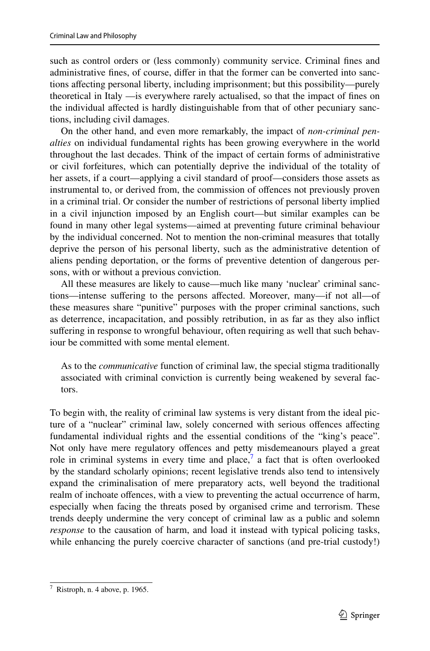such as control orders or (less commonly) community service. Criminal fnes and administrative fnes, of course, difer in that the former can be converted into sanctions afecting personal liberty, including imprisonment; but this possibility—purely theoretical in Italy —is everywhere rarely actualised, so that the impact of fnes on the individual afected is hardly distinguishable from that of other pecuniary sanctions, including civil damages.

On the other hand, and even more remarkably, the impact of *non-criminal penalties* on individual fundamental rights has been growing everywhere in the world throughout the last decades. Think of the impact of certain forms of administrative or civil forfeitures, which can potentially deprive the individual of the totality of her assets, if a court—applying a civil standard of proof—considers those assets as instrumental to, or derived from, the commission of ofences not previously proven in a criminal trial. Or consider the number of restrictions of personal liberty implied in a civil injunction imposed by an English court—but similar examples can be found in many other legal systems—aimed at preventing future criminal behaviour by the individual concerned. Not to mention the non-criminal measures that totally deprive the person of his personal liberty, such as the administrative detention of aliens pending deportation, or the forms of preventive detention of dangerous persons, with or without a previous conviction.

All these measures are likely to cause—much like many 'nuclear' criminal sanctions—intense suffering to the persons affected. Moreover, many—if not all—of these measures share "punitive" purposes with the proper criminal sanctions, such as deterrence, incapacitation, and possibly retribution, in as far as they also infict sufering in response to wrongful behaviour, often requiring as well that such behaviour be committed with some mental element.

As to the *communicative* function of criminal law, the special stigma traditionally associated with criminal conviction is currently being weakened by several factors.

To begin with, the reality of criminal law systems is very distant from the ideal picture of a "nuclear" criminal law, solely concerned with serious ofences afecting fundamental individual rights and the essential conditions of the "king's peace". Not only have mere regulatory ofences and petty misdemeanours played a great role in criminal systems in every time and place,<sup>[7](#page-4-0)</sup> a fact that is often overlooked by the standard scholarly opinions; recent legislative trends also tend to intensively expand the criminalisation of mere preparatory acts, well beyond the traditional realm of inchoate offences, with a view to preventing the actual occurrence of harm, especially when facing the threats posed by organised crime and terrorism. These trends deeply undermine the very concept of criminal law as a public and solemn *response* to the causation of harm, and load it instead with typical policing tasks, while enhancing the purely coercive character of sanctions (and pre-trial custody!)

<span id="page-4-0"></span> $<sup>7</sup>$  Ristroph, n. 4 above, p. 1965.</sup>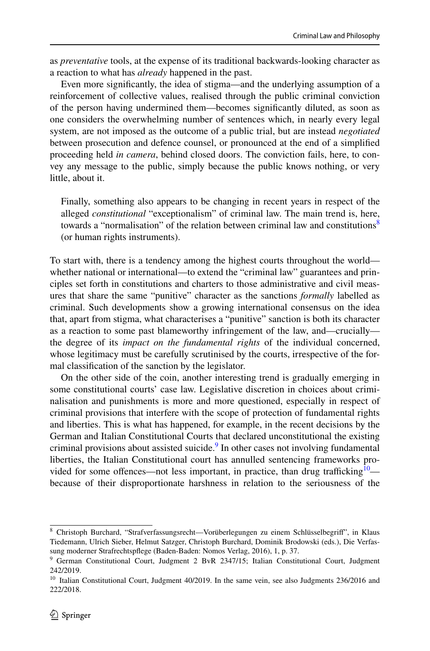as *preventative* tools, at the expense of its traditional backwards-looking character as a reaction to what has *already* happened in the past.

Even more signifcantly, the idea of stigma—and the underlying assumption of a reinforcement of collective values, realised through the public criminal conviction of the person having undermined them—becomes signifcantly diluted, as soon as one considers the overwhelming number of sentences which, in nearly every legal system, are not imposed as the outcome of a public trial, but are instead *negotiated* between prosecution and defence counsel, or pronounced at the end of a simplifed proceeding held *in camera*, behind closed doors. The conviction fails, here, to convey any message to the public, simply because the public knows nothing, or very little, about it.

Finally, something also appears to be changing in recent years in respect of the alleged *constitutional* "exceptionalism" of criminal law. The main trend is, here, towards a "normalisation" of the relation between criminal law and constitutions<sup>[8](#page-5-0)</sup> (or human rights instruments).

To start with, there is a tendency among the highest courts throughout the world whether national or international—to extend the "criminal law" guarantees and principles set forth in constitutions and charters to those administrative and civil measures that share the same "punitive" character as the sanctions *formally* labelled as criminal. Such developments show a growing international consensus on the idea that, apart from stigma, what characterises a "punitive" sanction is both its character as a reaction to some past blameworthy infringement of the law, and—crucially the degree of its *impact on the fundamental rights* of the individual concerned, whose legitimacy must be carefully scrutinised by the courts, irrespective of the formal classifcation of the sanction by the legislator.

On the other side of the coin, another interesting trend is gradually emerging in some constitutional courts' case law. Legislative discretion in choices about criminalisation and punishments is more and more questioned, especially in respect of criminal provisions that interfere with the scope of protection of fundamental rights and liberties. This is what has happened, for example, in the recent decisions by the German and Italian Constitutional Courts that declared unconstitutional the existing criminal provisions about assisted suicide.<sup>[9](#page-5-1)</sup> In other cases not involving fundamental liberties, the Italian Constitutional court has annulled sentencing frameworks provided for some offences—not less important, in practice, than drug trafficking $10$  because of their disproportionate harshness in relation to the seriousness of the

<span id="page-5-0"></span><sup>8</sup> Christoph Burchard, "Strafverfassungsrecht—Vorüberlegungen zu einem Schlüsselbegrif", in Klaus Tiedemann, Ulrich Sieber, Helmut Satzger, Christoph Burchard, Dominik Brodowski (eds.), Die Verfassung moderner Strafrechtspfege (Baden-Baden: Nomos Verlag, 2016), 1, p. 37.

<span id="page-5-1"></span><sup>9</sup> German Constitutional Court, Judgment 2 BvR 2347/15; Italian Constitutional Court, Judgment 242/2019.

<span id="page-5-2"></span> $10$  Italian Constitutional Court, Judgment 40/2019. In the same vein, see also Judgments 236/2016 and 222/2018.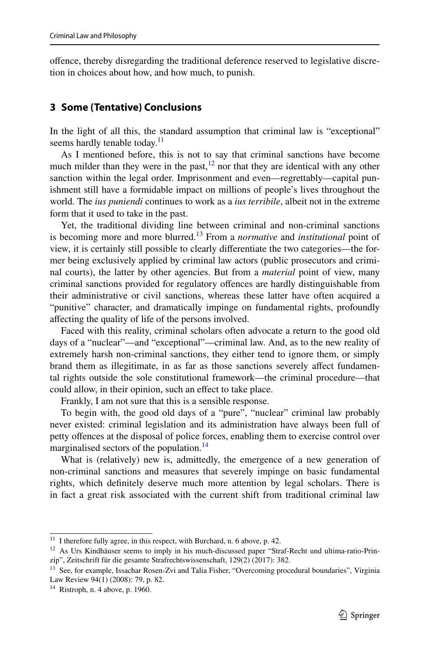ofence, thereby disregarding the traditional deference reserved to legislative discretion in choices about how, and how much, to punish.

### **3 Some (Tentative) Conclusions**

In the light of all this, the standard assumption that criminal law is "exceptional" seems hardly tenable today. $\frac{11}{11}$  $\frac{11}{11}$  $\frac{11}{11}$ 

As I mentioned before, this is not to say that criminal sanctions have become much milder than they were in the past, $\frac{12}{2}$  nor that they are identical with any other sanction within the legal order. Imprisonment and even—regrettably—capital punishment still have a formidable impact on millions of people's lives throughout the world. The *ius puniendi* continues to work as a *ius terribile*, albeit not in the extreme form that it used to take in the past.

Yet, the traditional dividing line between criminal and non-criminal sanctions is becoming more and more blurred.[13](#page-6-2) From a *normative* and *institutional* point of view, it is certainly still possible to clearly diferentiate the two categories—the former being exclusively applied by criminal law actors (public prosecutors and criminal courts), the latter by other agencies. But from a *material* point of view, many criminal sanctions provided for regulatory ofences are hardly distinguishable from their administrative or civil sanctions, whereas these latter have often acquired a "punitive" character, and dramatically impinge on fundamental rights, profoundly afecting the quality of life of the persons involved.

Faced with this reality, criminal scholars often advocate a return to the good old days of a "nuclear"—and "exceptional"—criminal law. And, as to the new reality of extremely harsh non-criminal sanctions, they either tend to ignore them, or simply brand them as illegitimate, in as far as those sanctions severely afect fundamental rights outside the sole constitutional framework—the criminal procedure—that could allow, in their opinion, such an efect to take place.

Frankly, I am not sure that this is a sensible response.

To begin with, the good old days of a "pure", "nuclear" criminal law probably never existed: criminal legislation and its administration have always been full of petty offences at the disposal of police forces, enabling them to exercise control over marginalised sectors of the population.<sup>[14](#page-6-3)</sup>

What is (relatively) new is, admittedly, the emergence of a new generation of non-criminal sanctions and measures that severely impinge on basic fundamental rights, which defnitely deserve much more attention by legal scholars. There is in fact a great risk associated with the current shift from traditional criminal law

<span id="page-6-0"></span> $11$  I therefore fully agree, in this respect, with Burchard, n. 6 above, p. 42.

<span id="page-6-1"></span><sup>&</sup>lt;sup>12</sup> As Urs Kindhäuser seems to imply in his much-discussed paper "Straf-Recht und ultima-ratio-Prinzip", Zeitschrift für die gesamte Strafrechtswissenschaft, 129(2) (2017): 382.

<span id="page-6-2"></span><sup>&</sup>lt;sup>13</sup> See, for example, Issachar Rosen-Zvi and Talia Fisher, "Overcoming procedural boundaries", Virginia Law Review 94(1) (2008): 79, p. 82.

<span id="page-6-3"></span> $14$  Ristroph, n. 4 above, p. 1960.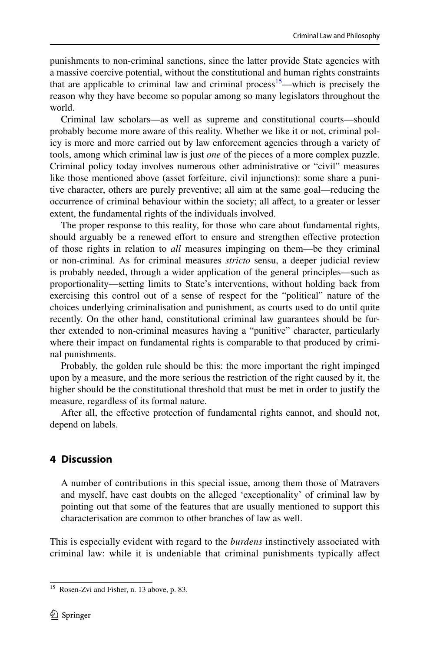punishments to non-criminal sanctions, since the latter provide State agencies with a massive coercive potential, without the constitutional and human rights constraints that are applicable to criminal law and criminal process<sup>15</sup>—which is precisely the reason why they have become so popular among so many legislators throughout the world.

Criminal law scholars—as well as supreme and constitutional courts—should probably become more aware of this reality. Whether we like it or not, criminal policy is more and more carried out by law enforcement agencies through a variety of tools, among which criminal law is just *one* of the pieces of a more complex puzzle. Criminal policy today involves numerous other administrative or "civil" measures like those mentioned above (asset forfeiture, civil injunctions): some share a punitive character, others are purely preventive; all aim at the same goal—reducing the occurrence of criminal behaviour within the society; all afect, to a greater or lesser extent, the fundamental rights of the individuals involved.

The proper response to this reality, for those who care about fundamental rights, should arguably be a renewed effort to ensure and strengthen effective protection of those rights in relation to *all* measures impinging on them—be they criminal or non-criminal. As for criminal measures *stricto* sensu, a deeper judicial review is probably needed, through a wider application of the general principles—such as proportionality—setting limits to State's interventions, without holding back from exercising this control out of a sense of respect for the "political" nature of the choices underlying criminalisation and punishment, as courts used to do until quite recently. On the other hand, constitutional criminal law guarantees should be further extended to non-criminal measures having a "punitive" character, particularly where their impact on fundamental rights is comparable to that produced by criminal punishments.

Probably, the golden rule should be this: the more important the right impinged upon by a measure, and the more serious the restriction of the right caused by it, the higher should be the constitutional threshold that must be met in order to justify the measure, regardless of its formal nature.

After all, the efective protection of fundamental rights cannot, and should not, depend on labels.

#### **4 Discussion**

A number of contributions in this special issue, among them those of Matravers and myself, have cast doubts on the alleged 'exceptionality' of criminal law by pointing out that some of the features that are usually mentioned to support this characterisation are common to other branches of law as well.

This is especially evident with regard to the *burdens* instinctively associated with criminal law: while it is undeniable that criminal punishments typically afect

<span id="page-7-0"></span><sup>15</sup> Rosen-Zvi and Fisher, n. 13 above, p. 83.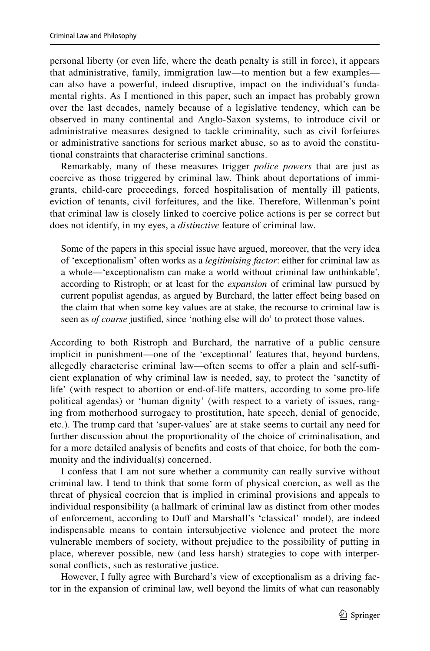personal liberty (or even life, where the death penalty is still in force), it appears that administrative, family, immigration law—to mention but a few examples can also have a powerful, indeed disruptive, impact on the individual's fundamental rights. As I mentioned in this paper, such an impact has probably grown over the last decades, namely because of a legislative tendency, which can be observed in many continental and Anglo-Saxon systems, to introduce civil or administrative measures designed to tackle criminality, such as civil forfeiures or administrative sanctions for serious market abuse, so as to avoid the constitutional constraints that characterise criminal sanctions.

Remarkably, many of these measures trigger *police powers* that are just as coercive as those triggered by criminal law. Think about deportations of immigrants, child-care proceedings, forced hospitalisation of mentally ill patients, eviction of tenants, civil forfeitures, and the like. Therefore, Willenman's point that criminal law is closely linked to coercive police actions is per se correct but does not identify, in my eyes, a *distinctive* feature of criminal law.

Some of the papers in this special issue have argued, moreover, that the very idea of 'exceptionalism' often works as a *legitimising factor*: either for criminal law as a whole—'exceptionalism can make a world without criminal law unthinkable', according to Ristroph; or at least for the *expansion* of criminal law pursued by current populist agendas, as argued by Burchard, the latter efect being based on the claim that when some key values are at stake, the recourse to criminal law is seen as *of course* justifed, since 'nothing else will do' to protect those values.

According to both Ristroph and Burchard, the narrative of a public censure implicit in punishment—one of the 'exceptional' features that, beyond burdens, allegedly characterise criminal law—often seems to offer a plain and self-sufficient explanation of why criminal law is needed, say, to protect the 'sanctity of life' (with respect to abortion or end-of-life matters, according to some pro-life political agendas) or 'human dignity' (with respect to a variety of issues, ranging from motherhood surrogacy to prostitution, hate speech, denial of genocide, etc.). The trump card that 'super-values' are at stake seems to curtail any need for further discussion about the proportionality of the choice of criminalisation, and for a more detailed analysis of benefts and costs of that choice, for both the community and the individual(s) concerned.

I confess that I am not sure whether a community can really survive without criminal law. I tend to think that some form of physical coercion, as well as the threat of physical coercion that is implied in criminal provisions and appeals to individual responsibility (a hallmark of criminal law as distinct from other modes of enforcement, according to Duff and Marshall's 'classical' model), are indeed indispensable means to contain intersubjective violence and protect the more vulnerable members of society, without prejudice to the possibility of putting in place, wherever possible, new (and less harsh) strategies to cope with interpersonal conficts, such as restorative justice.

However, I fully agree with Burchard's view of exceptionalism as a driving factor in the expansion of criminal law, well beyond the limits of what can reasonably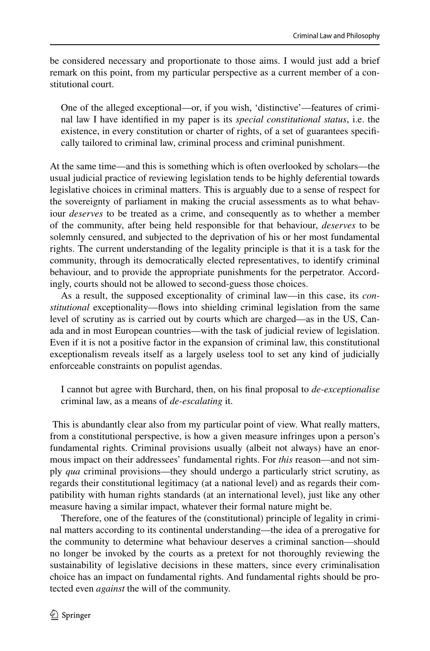be considered necessary and proportionate to those aims. I would just add a brief remark on this point, from my particular perspective as a current member of a constitutional court.

One of the alleged exceptional—or, if you wish, 'distinctive'—features of criminal law I have identifed in my paper is its *special constitutional status*, i.e. the existence, in every constitution or charter of rights, of a set of guarantees specifcally tailored to criminal law, criminal process and criminal punishment.

At the same time—and this is something which is often overlooked by scholars—the usual judicial practice of reviewing legislation tends to be highly deferential towards legislative choices in criminal matters. This is arguably due to a sense of respect for the sovereignty of parliament in making the crucial assessments as to what behaviour *deserves* to be treated as a crime, and consequently as to whether a member of the community, after being held responsible for that behaviour, *deserves* to be solemnly censured, and subjected to the deprivation of his or her most fundamental rights. The current understanding of the legality principle is that it is a task for the community, through its democratically elected representatives, to identify criminal behaviour, and to provide the appropriate punishments for the perpetrator. Accordingly, courts should not be allowed to second-guess those choices.

As a result, the supposed exceptionality of criminal law—in this case, its *constitutional* exceptionality—fows into shielding criminal legislation from the same level of scrutiny as is carried out by courts which are charged—as in the US, Canada and in most European countries—with the task of judicial review of legislation. Even if it is not a positive factor in the expansion of criminal law, this constitutional exceptionalism reveals itself as a largely useless tool to set any kind of judicially enforceable constraints on populist agendas.

I cannot but agree with Burchard, then, on his fnal proposal to *de-exceptionalise* criminal law, as a means of *de-escalating* it.

 This is abundantly clear also from my particular point of view. What really matters, from a constitutional perspective, is how a given measure infringes upon a person's fundamental rights. Criminal provisions usually (albeit not always) have an enormous impact on their addressees' fundamental rights. For *this* reason—and not simply *qua* criminal provisions—they should undergo a particularly strict scrutiny, as regards their constitutional legitimacy (at a national level) and as regards their compatibility with human rights standards (at an international level), just like any other measure having a similar impact, whatever their formal nature might be.

Therefore, one of the features of the (constitutional) principle of legality in criminal matters according to its continental understanding—the idea of a prerogative for the community to determine what behaviour deserves a criminal sanction—should no longer be invoked by the courts as a pretext for not thoroughly reviewing the sustainability of legislative decisions in these matters, since every criminalisation choice has an impact on fundamental rights. And fundamental rights should be protected even *against* the will of the community.